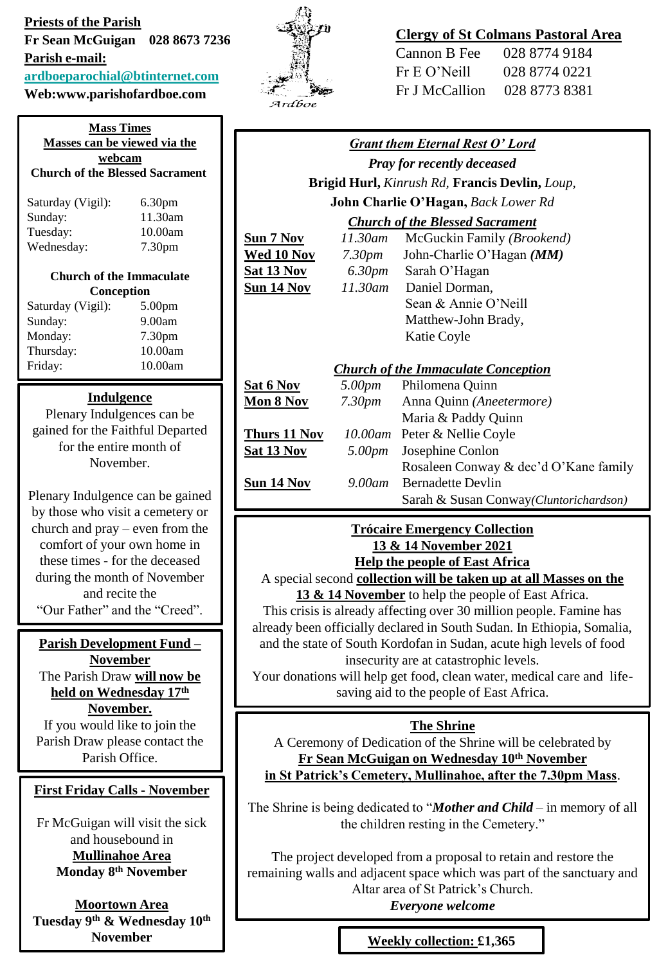### **Priests of the Parish**

**Fr Sean McGuigan 028 8673 7236** 

**Parish e-mail:**

# **[ardboeparochial@btinternet.com](mailto:ardboeparochial@btinternet.com)**

# **Web:www.parishofardboe.com**

| <b>Mass Times</b><br>Masses can be viewed via the<br>webcam<br><b>Church of the Blessed Sacrament</b> |                                 |  |
|-------------------------------------------------------------------------------------------------------|---------------------------------|--|
| Saturday (Vigil):                                                                                     | 6.30 <sub>pm</sub>              |  |
| Sunday:                                                                                               | 11.30am                         |  |
| Tuesday:                                                                                              | 10.00am                         |  |
| Wednesday:                                                                                            | 7.30 <sub>pm</sub>              |  |
|                                                                                                       | <b>Church of the Immaculate</b> |  |
| Conception                                                                                            |                                 |  |
| Saturday (Vigil):                                                                                     | 5.00 <sub>pm</sub>              |  |
| Sunday:                                                                                               | 9.00am                          |  |
| Monday:                                                                                               | 7.30 <sub>pm</sub>              |  |
| Thursday:                                                                                             | 10.00am                         |  |
| Friday:                                                                                               | 10.00am                         |  |

### **Indulgence**

Plenary Indulgences can be gained for the Faithful Departed for the entire month of November.

Plenary Indulgence can be gained by those who visit a cemetery or church and pray – even from the comfort of your own home in these times - for the deceased during the month of November and recite the "Our Father" and the "Creed".

#### **Parish Development Fund –**

**November** The Parish Draw **will now be held on Wednesday 17th November.** If you would like to join the

Parish Draw please contact the Parish Office.

### **First Friday Calls - November**

Fr McGuigan will visit the sick and housebound in **Mullinahoe Area Monday 8th November** 

**Moortown Area Tuesday 9th & Wednesday 10th November** 



# **Clergy of St Colmans Pastoral Area**

| Cannon B Fee    | 028 8774 9184 |
|-----------------|---------------|
| $Fr E O'$ Neill | 028 8774 0221 |
| Fr J McCallion  | 028 8773 8381 |

| <b>Grant them Eternal Rest O' Lord</b>                |                    |                                        |
|-------------------------------------------------------|--------------------|----------------------------------------|
| <b>Pray for recently deceased</b>                     |                    |                                        |
| <b>Brigid Hurl, Kinrush Rd, Francis Devlin, Loup,</b> |                    |                                        |
| John Charlie O'Hagan, Back Lower Rd                   |                    |                                        |
| <b>Church of the Blessed Sacrament</b>                |                    |                                        |
| Sun 7 Nov                                             | 11.30am            | McGuckin Family (Brookend)             |
| <u>Wed 10 Nov</u>                                     | 7.30 <sub>pm</sub> | John-Charlie O'Hagan (MM)              |
| <u>Sat 13 Nov</u>                                     | 6.30pm             | Sarah O'Hagan                          |
| <u>Sun 14 Nov</u>                                     | 11.30am            | Daniel Dorman,                         |
|                                                       |                    | Sean & Annie O'Neill                   |
|                                                       |                    | Matthew-John Brady,                    |
|                                                       |                    | Katie Coyle                            |
|                                                       |                    |                                        |
| <b>Church of the Immaculate Conception</b>            |                    |                                        |
| <b>Sat 6 Nov</b>                                      | 5.00pm             | Philomena Quinn                        |
| <b>Mon 8 Nov</b>                                      | 7.30pm             | Anna Quinn (Aneetermore)               |
|                                                       |                    | Maria & Paddy Quinn                    |
| Thurs 11 Nov                                          |                    | 10.00am Peter & Nellie Coyle           |
| <b>Sat 13 Nov</b>                                     | 5.00pm             | Josephine Conlon                       |
|                                                       |                    | Rosaleen Conway & dec'd O'Kane family  |
| <u>Sun 14 Nov</u>                                     | $9.00$ am          | <b>Bernadette Devlin</b>               |
|                                                       |                    | Sarah & Susan Conway(Cluntorichardson) |
|                                                       |                    |                                        |

### **Trócaire Emergency Collection 13 & 14 November 2021 Help the people of East Africa**

A special second **collection will be taken up at all Masses on the 13 & 14 November** to help the people of East Africa.

This crisis is already affecting over 30 million people. Famine has already been officially declared in South Sudan. In Ethiopia, Somalia, and the state of South Kordofan in Sudan, acute high levels of food insecurity are at catastrophic levels.

Your donations will help get food, clean water, medical care and lifesaving aid to the people of East Africa.

### **The Shrine**

A Ceremony of Dedication of the Shrine will be celebrated by **Fr Sean McGuigan on Wednesday 10th November in St Patrick's Cemetery, Mullinahoe, after the 7.30pm Mass**.

The Shrine is being dedicated to "*Mother and Child* – in memory of all the children resting in the Cemetery."

The project developed from a proposal to retain and restore the remaining walls and adjacent space which was part of the sanctuary and Altar area of St Patrick's Church.

*Everyone welcome*

**Weekly collection: £1,365**